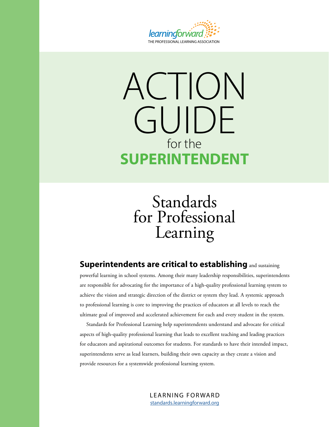

# ACTION GUIDE for the **SUPERINTENDENT**

**Standards** for Professional Learning

### **Superintendents are critical to establishing** and sustaining

powerful learning in school systems. Among their many leadership responsibilities, superintendents are responsible for advocating for the importance of a high-quality professional learning system to achieve the vision and strategic direction of the district or system they lead. A systemic approach to professional learning is core to improving the practices of educators at all levels to reach the ultimate goal of improved and accelerated achievement for each and every student in the system.

Standards for Professional Learning help superintendents understand and advocate for critical aspects of high-quality professional learning that leads to excellent teaching and leading practices for educators and aspirational outcomes for students. For standards to have their intended impact, superintendents serve as lead learners, building their own capacity as they create a vision and provide resources for a systemwide professional learning system.

> LEARNING FORWARD [standards.learningforward.org](https://standards.learningforward.org/)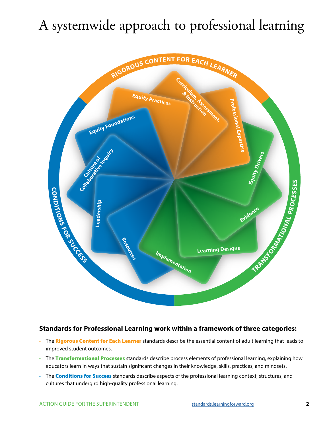## A systemwide approach to professional learning



#### **Standards for Professional Learning work within a framework of three categories:**

- The Rigorous Content for Each Learner standards describe the essential content of adult learning that leads to improved student outcomes.
- The Transformational Processes standards describe process elements of professional learning, explaining how educators learn in ways that sustain significant changes in their knowledge, skills, practices, and mindsets.
- The **Conditions for Success** standards describe aspects of the professional learning context, structures, and cultures that undergird high-quality professional learning.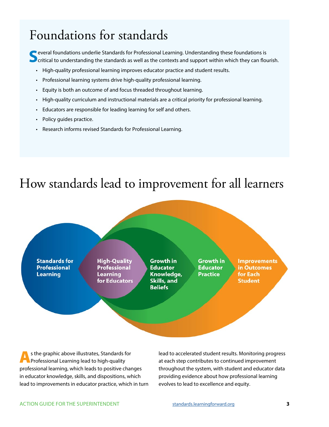### Foundations for standards

**S** everal foundations underlie Standards for Professional Learning. Understanding these foundations is critical to understanding the standards as well as the contexts and support within which they can flourish.

- High-quality professional learning improves educator practice and student results.
- Professional learning systems drive high-quality professional learning.
- Equity is both an outcome of and focus threaded throughout learning.
- High-quality curriculum and instructional materials are a critical priority for professional learning.
- Educators are responsible for leading learning for self and others.
- Policy guides practice.
- Research informs revised Standards for Professional Learning.

### How standards lead to improvement for all learners



As the graphic above illustrates, Standards for Professional Learning lead to high-quality professional learning, which leads to positive changes in educator knowledge, skills, and dispositions, which lead to improvements in educator practice, which in turn

lead to accelerated student results. Monitoring progress at each step contributes to continued improvement throughout the system, with student and educator data providing evidence about how professional learning evolves to lead to excellence and equity.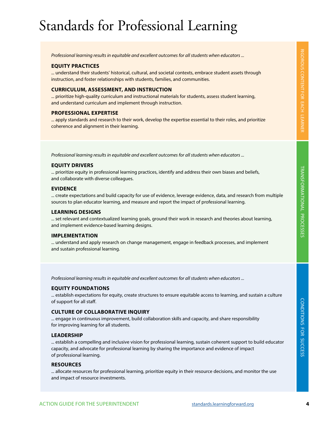## Standards for Professional Learning

*Professional learning results in equitable and excellent outcomes for all students when educators ...* 

#### **EQUITY PRACTICES**

... understand their students' historical, cultural, and societal contexts, embrace student assets through instruction, and foster relationships with students, families, and communities.

#### **CURRICULUM, ASSESSMENT, AND INSTRUCTION**

... prioritize high-quality curriculum and instructional materials for students, assess student learning, and understand curriculum and implement through instruction.

#### **PROFESSIONAL EXPERTISE**

... apply standards and research to their work, develop the expertise essential to their roles, and prioritize coherence and alignment in their learning.

*Professional learning results in equitable and excellent outcomes for all students when educators ...* 

#### **EQUITY DRIVERS**

... prioritize equity in professional learning practices, identify and address their own biases and beliefs, and collaborate with diverse colleagues.

#### **EVIDENCE**

... create expectations and build capacity for use of evidence, leverage evidence, data, and research from multiple sources to plan educator learning, and measure and report the impact of professional learning.

#### **LEARNING DESIGNS**

... set relevant and contextualized learning goals, ground their work in research and theories about learning, and implement evidence-based learning designs.

#### **IMPLEMENTATION**

... understand and apply research on change management, engage in feedback processes, and implement and sustain professional learning.

*Professional learning results in equitable and excellent outcomes for all students when educators ...* 

#### **EQUITY FOUNDATIONS**

... establish expectations for equity, create structures to ensure equitable access to learning, and sustain a culture of support for all staff.

#### **CULTURE OF COLLABORATIVE INQUIRY**

... engage in continuous improvement, build collaboration skills and capacity, and share responsibility for improving learning for all students.

#### **LEADERSHIP**

... establish a compelling and inclusive vision for professional learning, sustain coherent support to build educator capacity, and advocate for professional learning by sharing the importance and evidence of impact of professional learning.

#### **RESOURCES**

... allocate resources for professional learning, prioritize equity in their resource decisions, and monitor the use and impact of resource investments.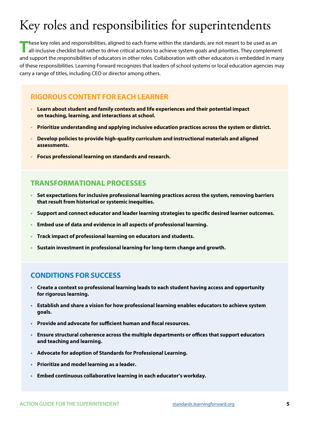### Key roles and responsibilities for superintendents

These key roles and responsibilities, aligned to each frame within the standards, are not meant to be used as an<br>all-inclusive checklist but rather to drive critical actions to achieve system goals and priorities. They com and support the responsibilities of educators in other roles. Collaboration with other educators is embedded in many of these responsibilities. Learning Forward recognizes that leaders of school systems or local education agencies may carry a range of titles, including CEO or director among others.

### **RIGOROUS CONTENT FOR EACH LEARNER**

- **• Learn about student and family contexts and life experiences and their potential impact on teaching, learning, and interactions at school.**
- **• Prioritize understanding and applying inclusive education practices across the system or district.**
- **• Develop policies to provide high-quality curriculum and instructional materials and aligned assessments.**
- **• Focus professional learning on standards and research.**

#### **TRANSFORMATIONAL PROCESSES**

- **• Set expectations for inclusive professional learning practices across the system, removing barriers that result from historical or systemic inequities.**
- **• Support and connect educator and leader learning strategies to specific desired learner outcomes.**
- **• Embed use of data and evidence in all aspects of professional learning.**
- **• Track impact of professional learning on educators and students.**
- **• Sustain investment in professional learning for long-term change and growth.**

#### **CONDITIONS FOR SUCCESS**

- **• Create a context so professional learning leads to each student having access and opportunity for rigorous learning.**
- **• Establish and share a vision for how professional learning enables educators to achieve system goals.**
- **• Provide and advocate for sufficient human and fiscal resources.**
- **• Ensure structural coherence across the multiple departments or offices that support educators and teaching and learning.**
- **• Advocate for adoption of Standards for Professional Learning.**
- **• Prioritize and model learning as a leader.**
- **• Embed continuous collaborative learning in each educator's workday.**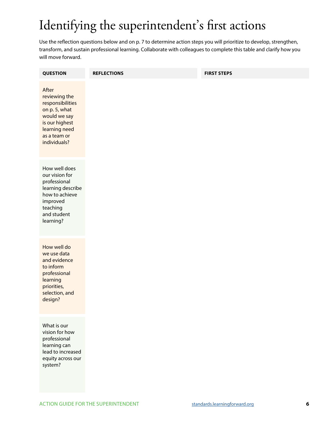### Identifying the superintendent's first actions

Use the reflection questions below and on p. 7 to determine action steps you will prioritize to develop, strengthen, transform, and sustain professional learning. Collaborate with colleagues to complete this table and clarify how you will move forward.

| <b>QUESTION</b>                                                                                                                                | <b>REFLECTIONS</b> | <b>FIRST STEPS</b> |
|------------------------------------------------------------------------------------------------------------------------------------------------|--------------------|--------------------|
| After<br>reviewing the<br>responsibilities<br>on p. 5, what<br>would we say<br>is our highest<br>learning need<br>as a team or<br>individuals? |                    |                    |
| How well does<br>our vision for<br>professional<br>learning describe<br>how to achieve<br>improved<br>teaching<br>and student<br>learning?     |                    |                    |
| How well do<br>we use data<br>and evidence<br>to inform<br>professional<br>learning<br>priorities,<br>selection, and<br>design?                |                    |                    |
| What is our<br>vision for how<br>professional<br>learning can<br>lead to increased<br>equity across our<br>system?                             |                    |                    |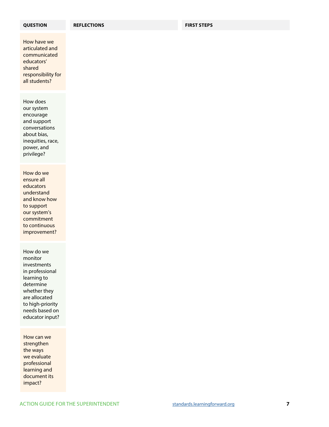How have we articulated and communicated educators' shared responsibility for all students?

How does our system encourage and support conversations about bias, inequities, race, power, and privilege?

How do we ensure all educators understand and know how to support our system's commitment to continuous improvement?

How do we monitor investments in professional learning to determine whether they are allocated to high-priority needs based on educator input?

How can we strengthen the ways we evaluate professional learning and document its impact?